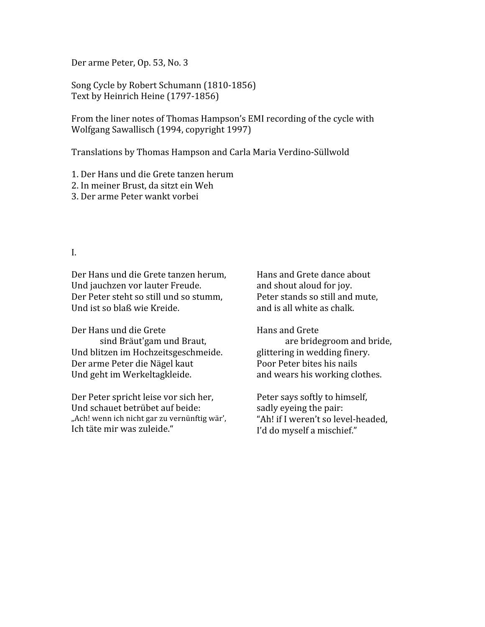Der
arme
Peter,
Op.
53,
No.
3

Song
Cycle
by
Robert
Schumann
(1810‐1856) Text
by
Heinrich
Heine
(1797‐1856)

From the liner notes of Thomas Hampson's EMI recording of the cycle with Wolfgang
Sawallisch
(1994,
copyright
1997)

Translations
by
Thomas
Hampson
and
Carla
Maria
Verdino‐Süllwold

1.
Der
Hans
und
die
Grete
tanzen
herum

- 2.
In
meiner
Brust,
da
sitzt
ein
Weh
- 3.
Der
arme
Peter
wankt
vorbei

## I.

Der
Hans
und
die
Grete
tanzen
herum, Und jauchzen vor lauter Freude. Der
Peter
steht
so
still
und
so
stumm, Und
ist
so
blaß
wie
Kreide.

Der
Hans
und
die
Grete sind
Bräut'gam
und
Braut, Und
blitzen
im
Hochzeitsgeschmeide. Der
arme
Peter
die
Nägel
kaut Und
geht
im
Werkeltagkleide.

Der
Peter
spricht
leise
vor
sich
her, Und
schauet
betrübet
auf
beide: "Ach! wenn ich nicht gar zu vernünftig wär', Ich
täte
mir
was
zuleide."

Hans
and
Grete
dance
about and
shout
aloud
for
joy. Peter
stands
so
still
and
mute, and
is
all
white
as
chalk.

Hans
and
Grete are
bridegroom
and
bride, glittering
in
wedding
finery. Poor
Peter
bites
his
nails and
wears
his
working
clothes.

Peter
says
softly
to
himself, sadly
eyeing
the
pair: "Ah!
if
I
weren't
so
level‐headed, I'd
do
myself
a
mischief."